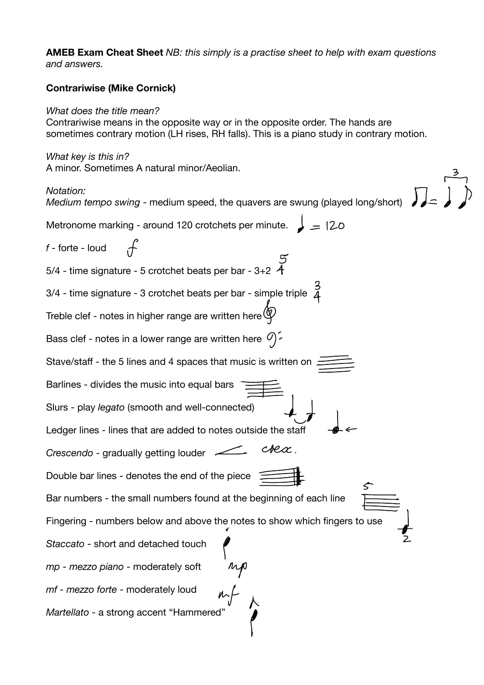**AMEB Exam Cheat Sheet** *NB: this simply is a practise sheet to help with exam questions and answers.* 

## **Contrariwise (Mike Cornick)**

## *What does the title mean?*

Contrariwise means in the opposite way or in the opposite order. The hands are sometimes contrary motion (LH rises, RH falls). This is a piano study in contrary motion.

*What key is this in?*  A minor. Sometimes A natural minor/Aeolian.

## *Notation: Medium tempo swing* - medium speed, the quavers are swung (played long/short) Metronome marking - around 120 crotchets per minute.  $\Box = 20$ *f* - forte - loud 5/4 - time signature - 5 crotchet beats per bar -  $3+2$   $\overline{4}$ 3/4 - time signature - 3 crotchet beats per bar - simple triple  $\overline{2}$ Treble clef - notes in higher range are written here  $\bigcircled{\!\!\!\!\!\!T}$ Bass clef - notes in a lower range are written here  $\mathcal{O}$ . Stave/staff - the 5 lines and 4 spaces that music is written on Barlines - divides the music into equal bars Slurs - play *legato* (smooth and well-connected) Ledger lines - lines that are added to notes outside the staff  $c$ re $\alpha$  . *Crescendo* - gradually getting louder Double bar lines - denotes the end of the piece Bar numbers - the small numbers found at the beginning of each line Fingering - numbers below and above the notes to show which fingers to use *Staccato* - short and detached touch *mp - mezzo piano* - moderately soft *mf - mezzo forte* - moderately loud *Martellato -* a strong accent "Hammered"